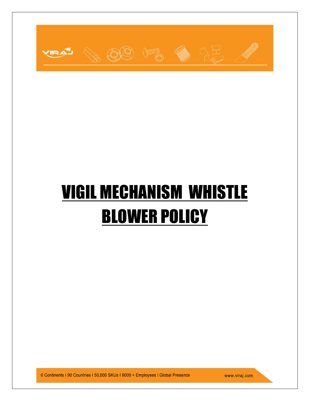

# VIGIL MECHANISM WHISTLE BLOWER POLICY

6 Continents | 90 Countries | 50,000 SKUs | 9000 + Employees | Global Presence

www.viraj.com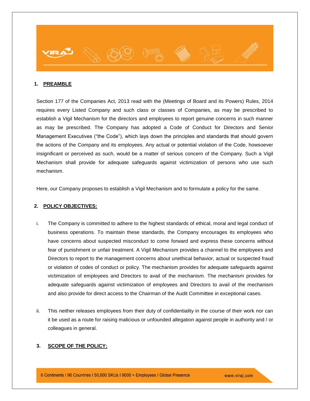

#### **1. PREAMBLE**

Section 177 of the Companies Act, 2013 read with the (Meetings of Board and its Powers) Rules, 2014 requires every Listed Company and such class or classes of Companies, as may be prescribed to establish a Vigil Mechanism for the directors and employees to report genuine concerns in such manner as may be prescribed. The Company has adopted a Code of Conduct for Directors and Senior Management Executives ("the Code"), which lays down the principles and standards that should govern the actions of the Company and its employees. Any actual or potential violation of the Code, howsoever insignificant or perceived as such, would be a matter of serious concern of the Company. Such a Vigil Mechanism shall provide for adequate safeguards against victimization of persons who use such mechanism.

Here, our Company proposes to establish a Vigil Mechanism and to formulate a policy for the same.

#### **2. POLICY OBJECTIVES:**

- i. The Company is committed to adhere to the highest standards of ethical, moral and legal conduct of business operations. To maintain these standards, the Company encourages its employees who have concerns about suspected misconduct to come forward and express these concerns without fear of punishment or unfair treatment. A Vigil Mechanism provides a channel to the employees and Directors to report to the management concerns about unethical behavior, actual or suspected fraud or violation of codes of conduct or policy. The mechanism provides for adequate safeguards against victimization of employees and Directors to avail of the mechanism. The mechanism provides for adequate safeguards against victimization of employees and Directors to avail of the mechanism and also provide for direct access to the Chairman of the Audit Committee in exceptional cases.
- ii. This neither releases employees from their duty of confidentiality in the course of their work nor can it be used as a route for raising malicious or unfounded allegation against people in authority and / or colleagues in general.

#### **3. SCOPE OF THE POLICY:**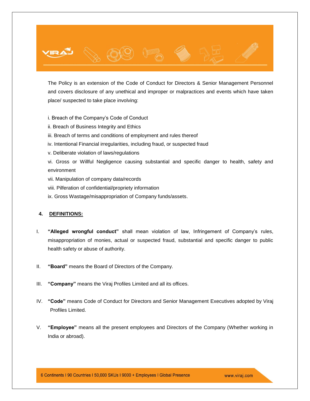

i. Breach of the Company's Code of Conduct

- ii. Breach of Business Integrity and Ethics
- iii. Breach of terms and conditions of employment and rules thereof
- iv. Intentional Financial irregularities, including fraud, or suspected fraud
- v. Deliberate violation of laws/regulations

vi. Gross or Willful Negligence causing substantial and specific danger to health, safety and environment

- vii. Manipulation of company data/records
- viii. Pilferation of confidential/propriety information
- ix. Gross Wastage/misappropriation of Company funds/assets.

#### **4. DEFINITIONS:**

- I. **"Alleged wrongful conduct"** shall mean violation of law, Infringement of Company's rules, misappropriation of monies, actual or suspected fraud, substantial and specific danger to public health safety or abuse of authority.
- II. **"Board"** means the Board of Directors of the Company.
- III. **"Company"** means the Viraj Profiles Limited and all its offices.
- IV. **"Code"** means Code of Conduct for Directors and Senior Management Executives adopted by Viraj Profiles Limited.
- V. **"Employee"** means all the present employees and Directors of the Company (Whether working in India or abroad).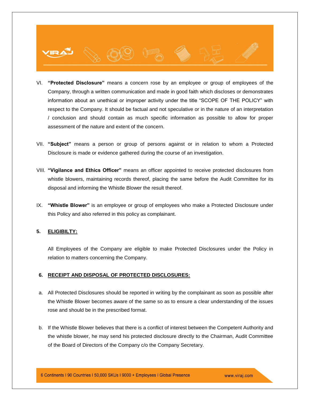- VI. **"Protected Disclosure"** means a concern rose by an employee or group of employees of the Company, through a written communication and made in good faith which discloses or demonstrates information about an unethical or improper activity under the title "SCOPE OF THE POLICY" with respect to the Company. It should be factual and not speculative or in the nature of an interpretation / conclusion and should contain as much specific information as possible to allow for proper assessment of the nature and extent of the concern.
- VII. **"Subject"** means a person or group of persons against or in relation to whom a Protected Disclosure is made or evidence gathered during the course of an investigation.
- VIII. **"Vigilance and Ethics Officer"** means an officer appointed to receive protected disclosures from whistle blowers, maintaining records thereof, placing the same before the Audit Committee for its disposal and informing the Whistle Blower the result thereof.
- IX. **"Whistle Blower"** is an employee or group of employees who make a Protected Disclosure under this Policy and also referred in this policy as complainant.

#### **5. ELIGIBILTY:**

All Employees of the Company are eligible to make Protected Disclosures under the Policy in relation to matters concerning the Company.

#### **6. RECEIPT AND DISPOSAL OF PROTECTED DISCLOSURES:**

- a. All Protected Disclosures should be reported in writing by the complainant as soon as possible after the Whistle Blower becomes aware of the same so as to ensure a clear understanding of the issues rose and should be in the prescribed format.
- b. If the Whistle Blower believes that there is a conflict of interest between the Competent Authority and the whistle blower, he may send his protected disclosure directly to the Chairman, Audit Committee of the Board of Directors of the Company c/o the Company Secretary.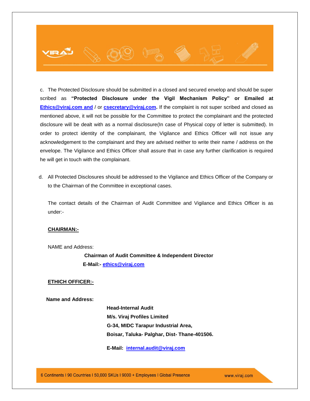## c. The Protected Disclosure should be submitted in a closed and secured envelop and should be super scribed as **"Protected Disclosure under the Vigil Mechanism Policy" or Emailed at [Ethics@viraj.com](mailto:Ethics@viraj.com) and** / or **csecretary@viraj.com.** If the complaint is not super scribed and closed as mentioned above, it will not be possible for the Committee to protect the complainant and the protected disclosure will be dealt with as a normal disclosure(In case of Physical copy of letter is submitted). In order to protect identity of the complainant, the Vigilance and Ethics Officer will not issue any acknowledgement to the complainant and they are advised neither to write their name / address on the envelope. The Vigilance and Ethics Officer shall assure that in case any further clarification is required he will get in touch with the complainant.

d. All Protected Disclosures should be addressed to the Vigilance and Ethics Officer of the Company or to the Chairman of the Committee in exceptional cases.

The contact details of the Chairman of Audit Committee and Vigilance and Ethics Officer is as under:-

#### **CHAIRMAN:-**

NAME and Address:

 **Chairman of Audit Committee & Independent Director E-Mail:- [ethics@viraj.com](mailto:ethics@viraj.com)**

#### **ETHICH OFFICER:-**

 **Name and Address:** 

 **Head-Internal Audit M/s. Viraj Profiles Limited G-34, MIDC Tarapur Industrial Area, Boisar, Taluka- Palghar, Dist- Thane-401506.**

 **E-Mail: [internal.audit@viraj.com](mailto:internal.audit@viraj.com)**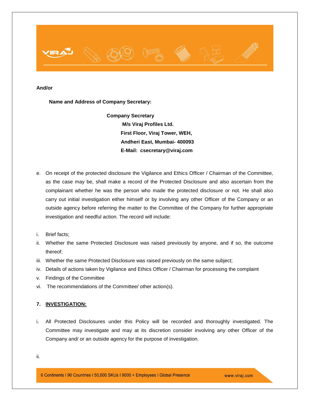

#### **And/or**

 **Name and Address of Company Secretary:**

 **Company Secretary M/s Viraj Profiles Ltd. First Floor, Viraj Tower, WEH, Andheri East, Mumbai- 400093 E-Mail: csecretary@viraj.com**

- e. On receipt of the protected disclosure the Vigilance and Ethics Officer / Chairman of the Committee, as the case may be, shall make a record of the Protected Disclosure and also ascertain from the complainant whether he was the person who made the protected disclosure or not. He shall also carry out initial investigation either himself or by involving any other Officer of the Company or an outside agency before referring the matter to the Committee of the Company for further appropriate investigation and needful action. The record will include:
- i. Brief facts;
- ii. Whether the same Protected Disclosure was raised previously by anyone, and if so, the outcome thereof;
- iii. Whether the same Protected Disclosure was raised previously on the same subject;
- iv. Details of actions taken by Vigilance and Ethics Officer / Chairman for processing the complaint
- v. Findings of the Committee
- vi. The recommendations of the Committee/ other action(s).

#### **7. INVESTIGATION:**

i. All Protected Disclosures under this Policy will be recorded and thoroughly investigated. The Committee may investigate and may at its discretion consider involving any other Officer of the Company and/ or an outside agency for the purpose of investigation.

ii.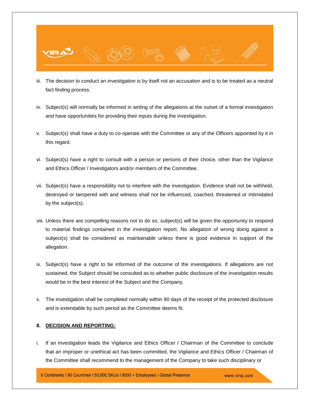

- iii. The decision to conduct an investigation is by itself not an accusation and is to be treated as a neutral fact finding process.
- iv. Subject(s) will normally be informed in writing of the allegations at the outset of a formal investigation and have opportunities for providing their inputs during the investigation.
- v. Subject(s) shall have a duty to co-operate with the Committee or any of the Officers appointed by it in this regard.
- vi. Subject(s) have a right to consult with a person or persons of their choice, other than the Vigilance and Ethics Officer / Investigators and/or members of the Committee.
- vii. Subject(s) have a responsibility not to interfere with the investigation. Evidence shall not be withheld, destroyed or tampered with and witness shall not be influenced, coached, threatened or intimidated by the subject(s).
- viii. Unless there are compelling reasons not to do so, subject(s) will be given the opportunity to respond to material findings contained in the investigation report. No allegation of wrong doing against a subject(s) shall be considered as maintainable unless there is good evidence in support of the allegation.
- ix. Subject(s) have a right to be informed of the outcome of the investigations. If allegations are not sustained, the Subject should be consulted as to whether public disclosure of the investigation results would be in the best interest of the Subject and the Company.
- x. The investigation shall be completed normally within 90 days of the receipt of the protected disclosure and is extendable by such period as the Committee deems fit.

#### **8. DECISION AND REPORTING:**

i. If an investigation leads the Vigilance and Ethics Officer / Chairman of the Committee to conclude that an improper or unethical act has been committed, the Vigilance and Ethics Officer / Chairman of the Committee shall recommend to the management of the Company to take such disciplinary or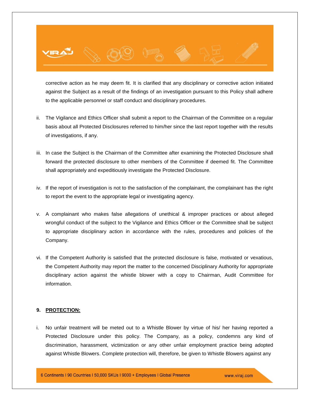

corrective action as he may deem fit. It is clarified that any disciplinary or corrective action initiated against the Subject as a result of the findings of an investigation pursuant to this Policy shall adhere to the applicable personnel or staff conduct and disciplinary procedures.

- ii. The Vigilance and Ethics Officer shall submit a report to the Chairman of the Committee on a regular basis about all Protected Disclosures referred to him/her since the last report together with the results of investigations, if any.
- iii. In case the Subject is the Chairman of the Committee after examining the Protected Disclosure shall forward the protected disclosure to other members of the Committee if deemed fit. The Committee shall appropriately and expeditiously investigate the Protected Disclosure.
- iv. If the report of investigation is not to the satisfaction of the complainant, the complainant has the right to report the event to the appropriate legal or investigating agency.
- v. A complainant who makes false allegations of unethical & improper practices or about alleged wrongful conduct of the subject to the Vigilance and Ethics Officer or the Committee shall be subject to appropriate disciplinary action in accordance with the rules, procedures and policies of the Company.
- vi. If the Competent Authority is satisfied that the protected disclosure is false, motivated or vexatious, the Competent Authority may report the matter to the concerned Disciplinary Authority for appropriate disciplinary action against the whistle blower with a copy to Chairman, Audit Committee for information.

#### **9. PROTECTION:**

i. No unfair treatment will be meted out to a Whistle Blower by virtue of his/ her having reported a Protected Disclosure under this policy. The Company, as a policy, condemns any kind of discrimination, harassment, victimization or any other unfair employment practice being adopted against Whistle Blowers. Complete protection will, therefore, be given to Whistle Blowers against any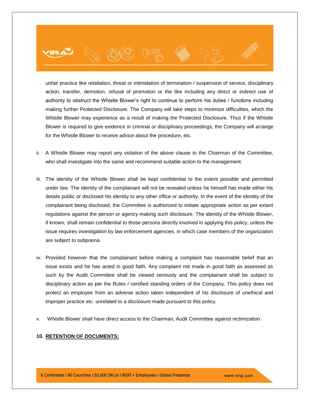# unfair practice like retaliation, threat or intimidation of termination / suspension of service, disciplinary action, transfer, demotion, refusal of promotion or the like including any direct or indirect use of authority to obstruct the Whistle Blower's right to continue to perform his duties / functions including making further Protected Disclosure. The Company will take steps to minimize difficulties, which the Whistle Blower may experience as a result of making the Protected Disclosure. Thus if the Whistle Blower is required to give evidence in criminal or disciplinary proceedings, the Company will arrange for the Whistle Blower to receive advice about the procedure, etc.

- ii. A Whistle Blower may report any violation of the above clause to the Chairman of the Committee, who shall investigate into the same and recommend suitable action to the management.
- iii. The identity of the Whistle Blower shall be kept confidential to the extent possible and permitted under law. The identity of the complainant will not be revealed unless he himself has made either his details public or disclosed his identity to any other office or authority. In the event of the identity of the complainant being disclosed, the Committee is authorized to initiate appropriate action as per extant regulations against the person or agency making such disclosure. The identity of the Whistle Blower, if known, shall remain confidential to those persons directly involved in applying this policy, unless the issue requires investigation by law enforcement agencies, in which case members of the organization are subject to subpoena.
- iv. Provided however that the complainant before making a complaint has reasonable belief that an issue exists and he has acted in good faith. Any complaint not made in good faith as assessed as such by the Audit Committee shall be viewed seriously and the complainant shall be subject to disciplinary action as per the Rules / certified standing orders of the Company. This policy does not protect an employee from an adverse action taken independent of his disclosure of unethical and improper practice etc. unrelated to a disclosure made pursuant to this policy.
- v. Whistle Blower shall have direct access to the Chairman, Audit Committee against victimization.

#### **10. RETENTION OF DOCUMENTS:**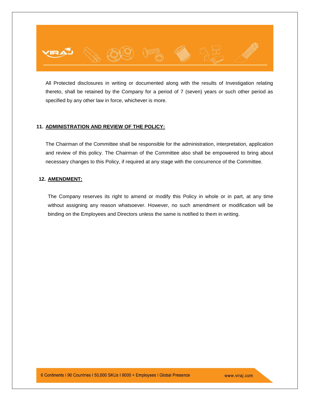

All Protected disclosures in writing or documented along with the results of Investigation relating thereto, shall be retained by the Company for a period of 7 (seven) years or such other period as specified by any other law in force, whichever is more.

#### **11. ADMINISTRATION AND REVIEW OF THE POLICY:**

The Chairman of the Committee shall be responsible for the administration, interpretation, application and review of this policy. The Chairman of the Committee also shall be empowered to bring about necessary changes to this Policy, if required at any stage with the concurrence of the Committee.

#### **12. AMENDMENT:**

The Company reserves its right to amend or modify this Policy in whole or in part, at any time without assigning any reason whatsoever. However, no such amendment or modification will be binding on the Employees and Directors unless the same is notified to them in writing.